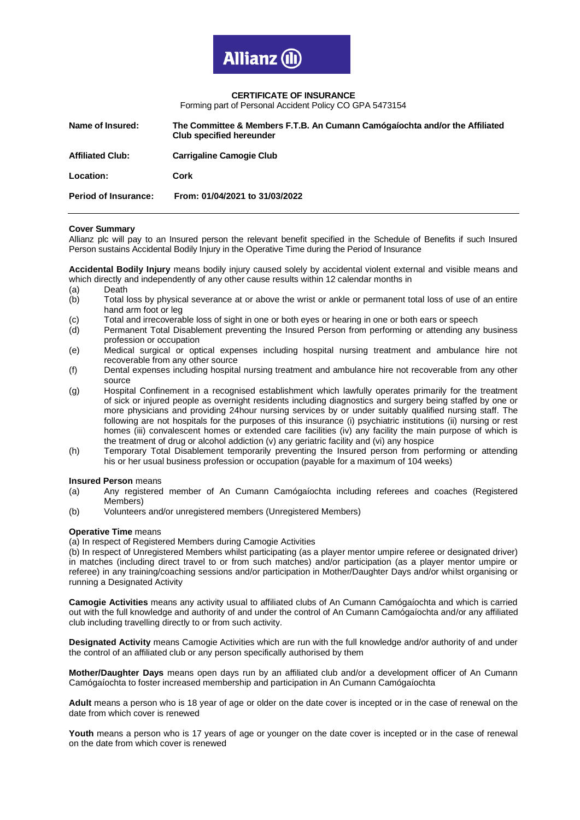## **CERTIFICATE OF INSURANCE**

Forming part of Personal Accident Policy CO GPA 5473154

| Name of Insured:            | The Committee & Members F.T.B. An Cumann Camógaíochta and/or the Affiliated<br><b>Club specified hereunder</b> |
|-----------------------------|----------------------------------------------------------------------------------------------------------------|
| <b>Affiliated Club:</b>     | <b>Carrigaline Camogie Club</b>                                                                                |
| Location:                   | Cork                                                                                                           |
| <b>Period of Insurance:</b> | From: 01/04/2021 to 31/03/2022                                                                                 |

## **Cover Summary**

Allianz plc will pay to an Insured person the relevant benefit specified in the Schedule of Benefits if such Insured Person sustains Accidental Bodily Injury in the Operative Time during the Period of Insurance

**Accidental Bodily Injury** means bodily injury caused solely by accidental violent external and visible means and which directly and independently of any other cause results within 12 calendar months in

- (a) Death
- (b) Total loss by physical severance at or above the wrist or ankle or permanent total loss of use of an entire hand arm foot or leg
- (c) Total and irrecoverable loss of sight in one or both eyes or hearing in one or both ears or speech
- (d) Permanent Total Disablement preventing the Insured Person from performing or attending any business profession or occupation
- (e) Medical surgical or optical expenses including hospital nursing treatment and ambulance hire not recoverable from any other source
- (f) Dental expenses including hospital nursing treatment and ambulance hire not recoverable from any other source
- (g) Hospital Confinement in a recognised establishment which lawfully operates primarily for the treatment of sick or injured people as overnight residents including diagnostics and surgery being staffed by one or more physicians and providing 24hour nursing services by or under suitably qualified nursing staff. The following are not hospitals for the purposes of this insurance (i) psychiatric institutions (ii) nursing or rest homes (iii) convalescent homes or extended care facilities (iv) any facility the main purpose of which is the treatment of drug or alcohol addiction (v) any geriatric facility and (vi) any hospice
- (h) Temporary Total Disablement temporarily preventing the Insured person from performing or attending his or her usual business profession or occupation (payable for a maximum of 104 weeks)

## **Insured Person** means

- (a) Any registered member of An Cumann Camógaíochta including referees and coaches (Registered Members)
- (b) Volunteers and/or unregistered members (Unregistered Members)

# **Operative Time** means

(a) In respect of Registered Members during Camogie Activities

(b) In respect of Unregistered Members whilst participating (as a player mentor umpire referee or designated driver) in matches (including direct travel to or from such matches) and/or participation (as a player mentor umpire or referee) in any training/coaching sessions and/or participation in Mother/Daughter Days and/or whilst organising or running a Designated Activity

**Camogie Activities** means any activity usual to affiliated clubs of An Cumann Camógaíochta and which is carried out with the full knowledge and authority of and under the control of An Cumann Camógaíochta and/or any affiliated club including travelling directly to or from such activity.

**Designated Activity** means Camogie Activities which are run with the full knowledge and/or authority of and under the control of an affiliated club or any person specifically authorised by them

**Mother/Daughter Days** means open days run by an affiliated club and/or a development officer of An Cumann Camógaíochta to foster increased membership and participation in An Cumann Camógaíochta

**Adult** means a person who is 18 year of age or older on the date cover is incepted or in the case of renewal on the date from which cover is renewed

**Youth** means a person who is 17 years of age or younger on the date cover is incepted or in the case of renewal on the date from which cover is renewed